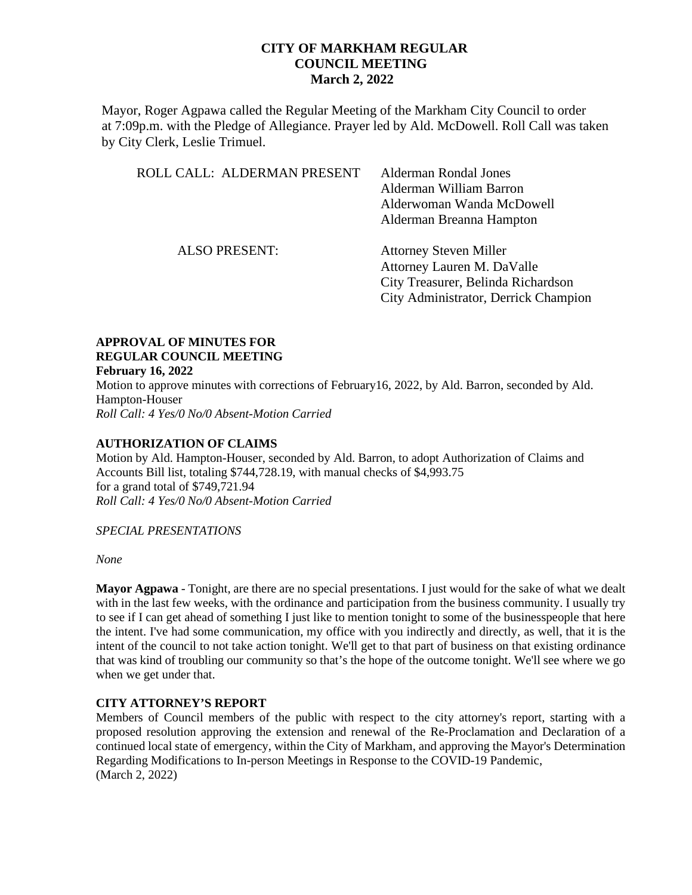Mayor, Roger Agpawa called the Regular Meeting of the Markham City Council to order at 7:09p.m. with the Pledge of Allegiance. Prayer led by Ald. McDowell. Roll Call was taken by City Clerk, Leslie Trimuel.

| ROLL CALL: ALDERMAN PRESENT | <b>Alderman Rondal Jones</b><br>Alderman William Barron<br>Alderwoman Wanda McDowell<br>Alderman Breanna Hampton                          |
|-----------------------------|-------------------------------------------------------------------------------------------------------------------------------------------|
| <b>ALSO PRESENT:</b>        | <b>Attorney Steven Miller</b><br>Attorney Lauren M. DaValle<br>City Treasurer, Belinda Richardson<br>City Administrator, Derrick Champion |

#### **APPROVAL OF MINUTES FOR REGULAR COUNCIL MEETING February 16, 2022**

Motion to approve minutes with corrections of February16, 2022, by Ald. Barron, seconded by Ald. Hampton-Houser *Roll Call: 4 Yes/0 No/0 Absent-Motion Carried*

### **AUTHORIZATION OF CLAIMS**

Motion by Ald. Hampton-Houser, seconded by Ald. Barron, to adopt Authorization of Claims and Accounts Bill list, totaling \$744,728.19, with manual checks of \$4,993.75 for a grand total of \$749,721.94 *Roll Call: 4 Yes/0 No/0 Absent-Motion Carried* 

*SPECIAL PRESENTATIONS*

*None*

**Mayor Agpawa** - Tonight, are there are no special presentations. I just would for the sake of what we dealt with in the last few weeks, with the ordinance and participation from the business community. I usually try to see if I can get ahead of something I just like to mention tonight to some of the businesspeople that here the intent. I've had some communication, my office with you indirectly and directly, as well, that it is the intent of the council to not take action tonight. We'll get to that part of business on that existing ordinance that was kind of troubling our community so that's the hope of the outcome tonight. We'll see where we go when we get under that.

# **CITY ATTORNEY'S REPORT**

Members of Council members of the public with respect to the city attorney's report, starting with a proposed resolution approving the extension and renewal of the Re-Proclamation and Declaration of a continued local state of emergency, within the City of Markham, and approving the Mayor's Determination Regarding Modifications to In-person Meetings in Response to the COVID-19 Pandemic, (March 2, 2022)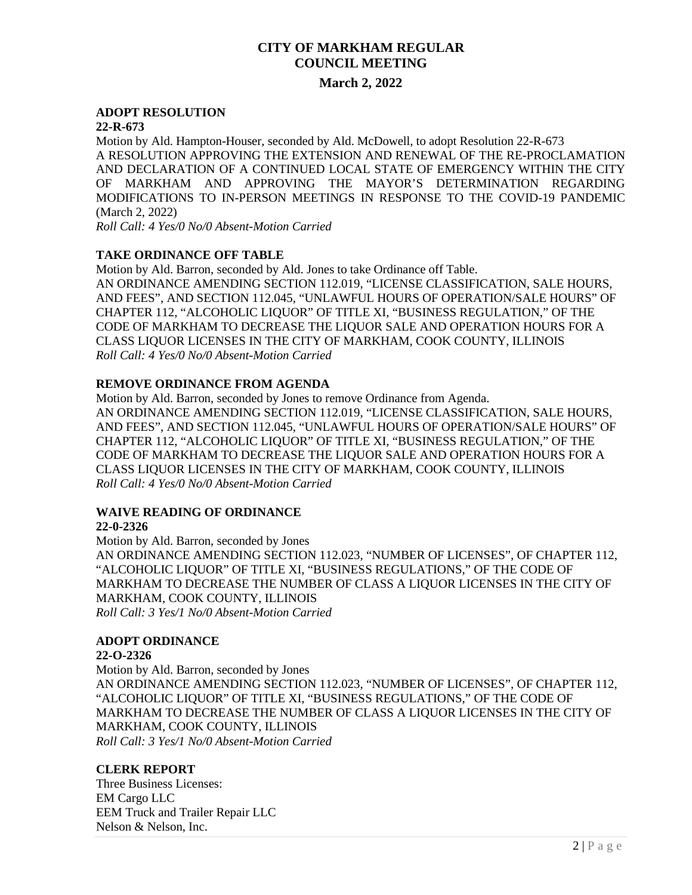### **March 2, 2022**

#### **ADOPT RESOLUTION**

#### **22-R-673**

Motion by Ald. Hampton-Houser, seconded by Ald. McDowell, to adopt Resolution 22-R-673 A RESOLUTION APPROVING THE EXTENSION AND RENEWAL OF THE RE-PROCLAMATION AND DECLARATION OF A CONTINUED LOCAL STATE OF EMERGENCY WITHIN THE CITY OF MARKHAM AND APPROVING THE MAYOR'S DETERMINATION REGARDING MODIFICATIONS TO IN-PERSON MEETINGS IN RESPONSE TO THE COVID-19 PANDEMIC (March 2, 2022)

*Roll Call: 4 Yes/0 No/0 Absent-Motion Carried* 

# **TAKE ORDINANCE OFF TABLE**

Motion by Ald. Barron, seconded by Ald. Jones to take Ordinance off Table. AN ORDINANCE AMENDING SECTION 112.019, "LICENSE CLASSIFICATION, SALE HOURS, AND FEES", AND SECTION 112.045, "UNLAWFUL HOURS OF OPERATION/SALE HOURS" OF CHAPTER 112, "ALCOHOLIC LIQUOR" OF TITLE XI, "BUSINESS REGULATION," OF THE CODE OF MARKHAM TO DECREASE THE LIQUOR SALE AND OPERATION HOURS FOR A CLASS LIQUOR LICENSES IN THE CITY OF MARKHAM, COOK COUNTY, ILLINOIS *Roll Call: 4 Yes/0 No/0 Absent-Motion Carried* 

### **REMOVE ORDINANCE FROM AGENDA**

Motion by Ald. Barron, seconded by Jones to remove Ordinance from Agenda. AN ORDINANCE AMENDING SECTION 112.019, "LICENSE CLASSIFICATION, SALE HOURS, AND FEES", AND SECTION 112.045, "UNLAWFUL HOURS OF OPERATION/SALE HOURS" OF CHAPTER 112, "ALCOHOLIC LIQUOR" OF TITLE XI, "BUSINESS REGULATION," OF THE CODE OF MARKHAM TO DECREASE THE LIQUOR SALE AND OPERATION HOURS FOR A CLASS LIQUOR LICENSES IN THE CITY OF MARKHAM, COOK COUNTY, ILLINOIS *Roll Call: 4 Yes/0 No/0 Absent-Motion Carried* 

# **WAIVE READING OF ORDINANCE**

#### **22-0-2326**

Motion by Ald. Barron, seconded by Jones AN ORDINANCE AMENDING SECTION 112.023, "NUMBER OF LICENSES", OF CHAPTER 112, "ALCOHOLIC LIQUOR" OF TITLE XI, "BUSINESS REGULATIONS," OF THE CODE OF MARKHAM TO DECREASE THE NUMBER OF CLASS A LIQUOR LICENSES IN THE CITY OF MARKHAM, COOK COUNTY, ILLINOIS *Roll Call: 3 Yes/1 No/0 Absent-Motion Carried* 

# **ADOPT ORDINANCE**

#### **22-O-2326**

Motion by Ald. Barron, seconded by Jones AN ORDINANCE AMENDING SECTION 112.023, "NUMBER OF LICENSES", OF CHAPTER 112, "ALCOHOLIC LIQUOR" OF TITLE XI, "BUSINESS REGULATIONS," OF THE CODE OF MARKHAM TO DECREASE THE NUMBER OF CLASS A LIQUOR LICENSES IN THE CITY OF MARKHAM, COOK COUNTY, ILLINOIS *Roll Call: 3 Yes/1 No/0 Absent-Motion Carried* 

#### **CLERK REPORT**

Three Business Licenses: EM Cargo LLC EEM Truck and Trailer Repair LLC Nelson & Nelson, Inc.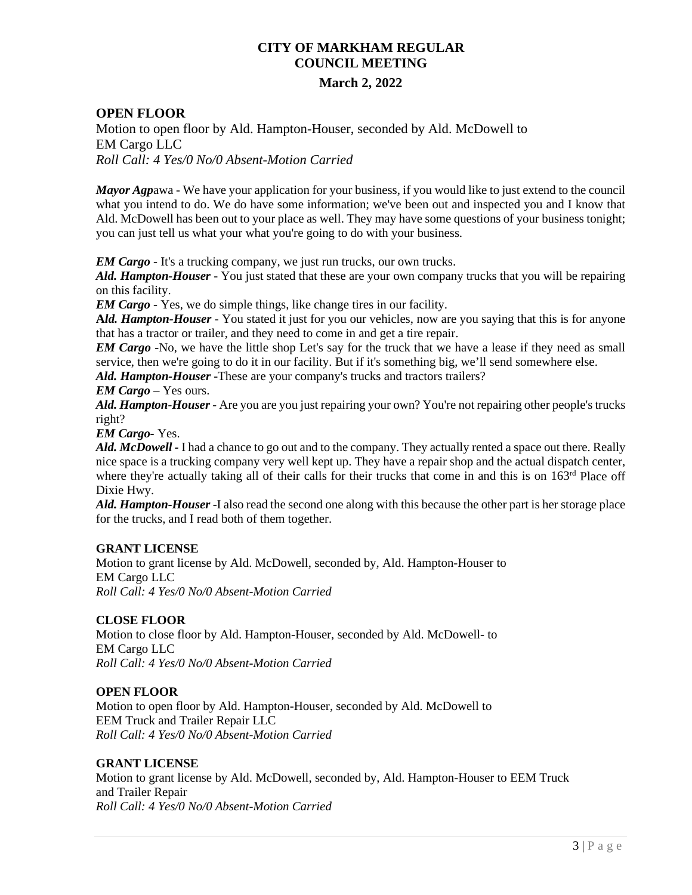### **OPEN FLOOR**

Motion to open floor by Ald. Hampton-Houser, seconded by Ald. McDowell to EM Cargo LLC *Roll Call: 4 Yes/0 No/0 Absent-Motion Carried* 

*Mayor Agp*awa - We have your application for your business, if you would like to just extend to the council what you intend to do. We do have some information; we've been out and inspected you and I know that Ald. McDowell has been out to your place as well. They may have some questions of your business tonight; you can just tell us what your what you're going to do with your business.

*EM Cargo* - It's a trucking company, we just run trucks, our own trucks.

*Ald. Hampton-Houser* - You just stated that these are your own company trucks that you will be repairing on this facility.

*EM Cargo* - Yes, we do simple things, like change tires in our facility.

**A***ld. Hampton-Houser* - You stated it just for you our vehicles, now are you saying that this is for anyone that has a tractor or trailer, and they need to come in and get a tire repair.

*EM Cargo* -No, we have the little shop Let's say for the truck that we have a lease if they need as small service, then we're going to do it in our facility. But if it's something big, we'll send somewhere else.

*Ald. Hampton-Houser* -These are your company's trucks and tractors trailers?

#### *EM Cargo* – Yes ours.

*Ald. Hampton-Houser -* Are you are you just repairing your own? You're not repairing other people's trucks right?

*EM Cargo-* Yes.

*Ald. McDowell -* I had a chance to go out and to the company. They actually rented a space out there. Really nice space is a trucking company very well kept up. They have a repair shop and the actual dispatch center, where they're actually taking all of their calls for their trucks that come in and this is on 163<sup>rd</sup> Place off Dixie Hwy.

*Ald. Hampton-Houser* -I also read the second one along with this because the other part is her storage place for the trucks, and I read both of them together.

#### **GRANT LICENSE**

Motion to grant license by Ald. McDowell, seconded by, Ald. Hampton-Houser to EM Cargo LLC *Roll Call: 4 Yes/0 No/0 Absent-Motion Carried* 

#### **CLOSE FLOOR**

Motion to close floor by Ald. Hampton-Houser, seconded by Ald. McDowell- to EM Cargo LLC *Roll Call: 4 Yes/0 No/0 Absent-Motion Carried* 

#### **OPEN FLOOR**

Motion to open floor by Ald. Hampton-Houser, seconded by Ald. McDowell to EEM Truck and Trailer Repair LLC *Roll Call: 4 Yes/0 No/0 Absent-Motion Carried* 

#### **GRANT LICENSE**

Motion to grant license by Ald. McDowell, seconded by, Ald. Hampton-Houser to EEM Truck and Trailer Repair *Roll Call: 4 Yes/0 No/0 Absent-Motion Carried*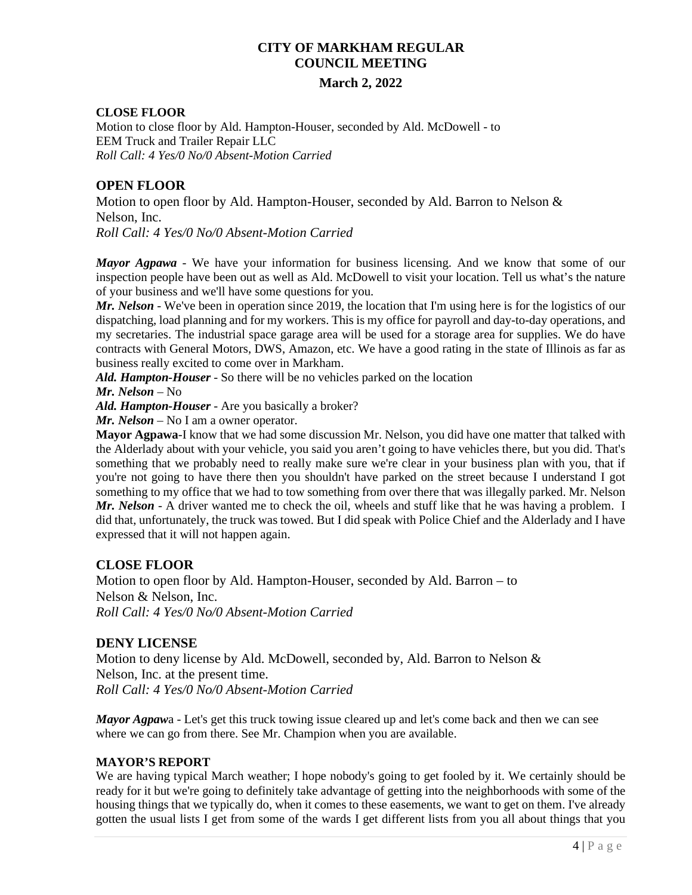# **March 2, 2022**

#### **CLOSE FLOOR**

Motion to close floor by Ald. Hampton-Houser, seconded by Ald. McDowell - to EEM Truck and Trailer Repair LLC *Roll Call: 4 Yes/0 No/0 Absent-Motion Carried* 

# **OPEN FLOOR**

Motion to open floor by Ald. Hampton-Houser, seconded by Ald. Barron to Nelson & Nelson, Inc. *Roll Call: 4 Yes/0 No/0 Absent-Motion Carried* 

*Mayor Agpawa* - We have your information for business licensing. And we know that some of our inspection people have been out as well as Ald. McDowell to visit your location. Tell us what's the nature of your business and we'll have some questions for you.

*Mr. Nelson* - We've been in operation since 2019, the location that I'm using here is for the logistics of our dispatching, load planning and for my workers. This is my office for payroll and day-to-day operations, and my secretaries. The industrial space garage area will be used for a storage area for supplies. We do have contracts with General Motors, DWS, Amazon, etc. We have a good rating in the state of Illinois as far as business really excited to come over in Markham.

*Ald. Hampton-Houser* - So there will be no vehicles parked on the location

*Mr. Nelson* – No

*Ald. Hampton-Houser* - Are you basically a broker?

*Mr. Nelson* – No I am a owner operator.

**Mayor Agpawa**-I know that we had some discussion Mr. Nelson, you did have one matter that talked with the Alderlady about with your vehicle, you said you aren't going to have vehicles there, but you did. That's something that we probably need to really make sure we're clear in your business plan with you, that if you're not going to have there then you shouldn't have parked on the street because I understand I got something to my office that we had to tow something from over there that was illegally parked. Mr. Nelson *Mr. Nelson* - A driver wanted me to check the oil, wheels and stuff like that he was having a problem. I did that, unfortunately, the truck was towed. But I did speak with Police Chief and the Alderlady and I have expressed that it will not happen again.

# **CLOSE FLOOR**

Motion to open floor by Ald. Hampton-Houser, seconded by Ald. Barron – to Nelson & Nelson, Inc. *Roll Call: 4 Yes/0 No/0 Absent-Motion Carried* 

# **DENY LICENSE**

Motion to deny license by Ald. McDowell, seconded by, Ald. Barron to Nelson & Nelson, Inc. at the present time. *Roll Call: 4 Yes/0 No/0 Absent-Motion Carried*

*Mayor Agpaw*a - Let's get this truck towing issue cleared up and let's come back and then we can see where we can go from there. See Mr. Champion when you are available.

#### **MAYOR'S REPORT**

We are having typical March weather; I hope nobody's going to get fooled by it. We certainly should be ready for it but we're going to definitely take advantage of getting into the neighborhoods with some of the housing things that we typically do, when it comes to these easements, we want to get on them. I've already gotten the usual lists I get from some of the wards I get different lists from you all about things that you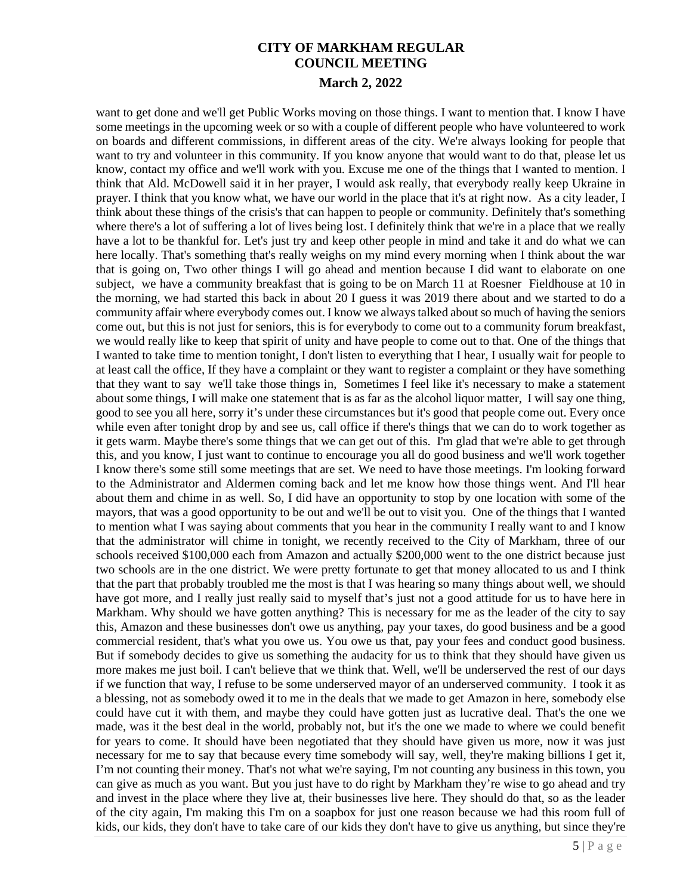want to get done and we'll get Public Works moving on those things. I want to mention that. I know I have some meetings in the upcoming week or so with a couple of different people who have volunteered to work on boards and different commissions, in different areas of the city. We're always looking for people that want to try and volunteer in this community. If you know anyone that would want to do that, please let us know, contact my office and we'll work with you. Excuse me one of the things that I wanted to mention. I think that Ald. McDowell said it in her prayer, I would ask really, that everybody really keep Ukraine in prayer. I think that you know what, we have our world in the place that it's at right now. As a city leader, I think about these things of the crisis's that can happen to people or community. Definitely that's something where there's a lot of suffering a lot of lives being lost. I definitely think that we're in a place that we really have a lot to be thankful for. Let's just try and keep other people in mind and take it and do what we can here locally. That's something that's really weighs on my mind every morning when I think about the war that is going on, Two other things I will go ahead and mention because I did want to elaborate on one subject, we have a community breakfast that is going to be on March 11 at Roesner Fieldhouse at 10 in the morning, we had started this back in about 20 I guess it was 2019 there about and we started to do a community affair where everybody comes out. I know we always talked about so much of having the seniors come out, but this is not just for seniors, this is for everybody to come out to a community forum breakfast, we would really like to keep that spirit of unity and have people to come out to that. One of the things that I wanted to take time to mention tonight, I don't listen to everything that I hear, I usually wait for people to at least call the office, If they have a complaint or they want to register a complaint or they have something that they want to say we'll take those things in, Sometimes I feel like it's necessary to make a statement about some things, I will make one statement that is as far as the alcohol liquor matter, I will say one thing, good to see you all here, sorry it's under these circumstances but it's good that people come out. Every once while even after tonight drop by and see us, call office if there's things that we can do to work together as it gets warm. Maybe there's some things that we can get out of this. I'm glad that we're able to get through this, and you know, I just want to continue to encourage you all do good business and we'll work together I know there's some still some meetings that are set. We need to have those meetings. I'm looking forward to the Administrator and Aldermen coming back and let me know how those things went. And I'll hear about them and chime in as well. So, I did have an opportunity to stop by one location with some of the mayors, that was a good opportunity to be out and we'll be out to visit you. One of the things that I wanted to mention what I was saying about comments that you hear in the community I really want to and I know that the administrator will chime in tonight, we recently received to the City of Markham, three of our schools received \$100,000 each from Amazon and actually \$200,000 went to the one district because just two schools are in the one district. We were pretty fortunate to get that money allocated to us and I think that the part that probably troubled me the most is that I was hearing so many things about well, we should have got more, and I really just really said to myself that's just not a good attitude for us to have here in Markham. Why should we have gotten anything? This is necessary for me as the leader of the city to say this, Amazon and these businesses don't owe us anything, pay your taxes, do good business and be a good commercial resident, that's what you owe us. You owe us that, pay your fees and conduct good business. But if somebody decides to give us something the audacity for us to think that they should have given us more makes me just boil. I can't believe that we think that. Well, we'll be underserved the rest of our days if we function that way, I refuse to be some underserved mayor of an underserved community. I took it as a blessing, not as somebody owed it to me in the deals that we made to get Amazon in here, somebody else could have cut it with them, and maybe they could have gotten just as lucrative deal. That's the one we made, was it the best deal in the world, probably not, but it's the one we made to where we could benefit for years to come. It should have been negotiated that they should have given us more, now it was just necessary for me to say that because every time somebody will say, well, they're making billions I get it, I'm not counting their money. That's not what we're saying, I'm not counting any business in this town, you can give as much as you want. But you just have to do right by Markham they're wise to go ahead and try and invest in the place where they live at, their businesses live here. They should do that, so as the leader of the city again, I'm making this I'm on a soapbox for just one reason because we had this room full of kids, our kids, they don't have to take care of our kids they don't have to give us anything, but since they're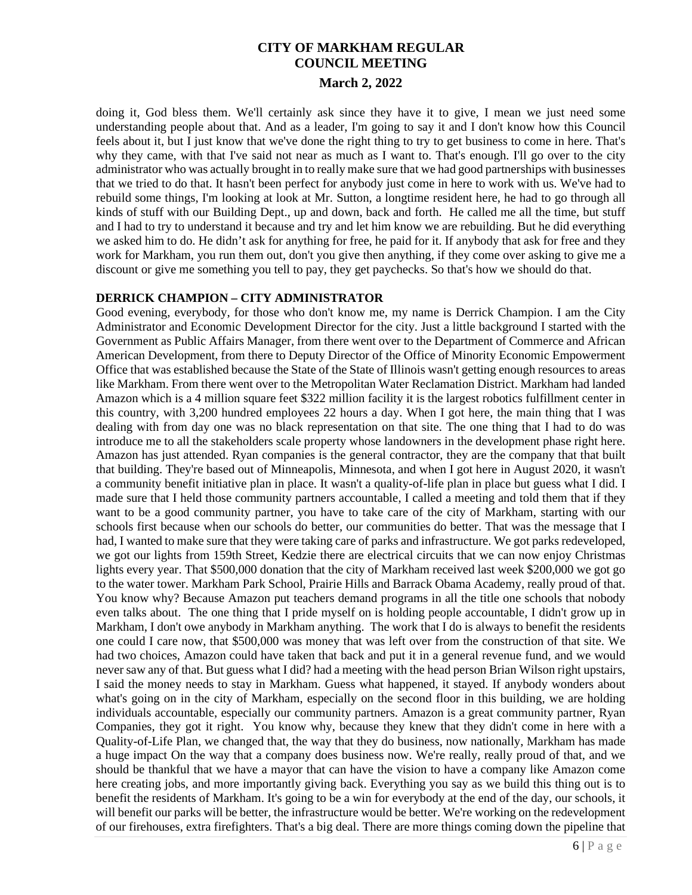doing it, God bless them. We'll certainly ask since they have it to give, I mean we just need some understanding people about that. And as a leader, I'm going to say it and I don't know how this Council feels about it, but I just know that we've done the right thing to try to get business to come in here. That's why they came, with that I've said not near as much as I want to. That's enough. I'll go over to the city administrator who was actually brought in to really make sure that we had good partnerships with businesses that we tried to do that. It hasn't been perfect for anybody just come in here to work with us. We've had to rebuild some things, I'm looking at look at Mr. Sutton, a longtime resident here, he had to go through all kinds of stuff with our Building Dept., up and down, back and forth. He called me all the time, but stuff and I had to try to understand it because and try and let him know we are rebuilding. But he did everything we asked him to do. He didn't ask for anything for free, he paid for it. If anybody that ask for free and they work for Markham, you run them out, don't you give then anything, if they come over asking to give me a discount or give me something you tell to pay, they get paychecks. So that's how we should do that.

#### **DERRICK CHAMPION – CITY ADMINISTRATOR**

Good evening, everybody, for those who don't know me, my name is Derrick Champion. I am the City Administrator and Economic Development Director for the city. Just a little background I started with the Government as Public Affairs Manager, from there went over to the Department of Commerce and African American Development, from there to Deputy Director of the Office of Minority Economic Empowerment Office that was established because the State of the State of Illinois wasn't getting enough resources to areas like Markham. From there went over to the Metropolitan Water Reclamation District. Markham had landed Amazon which is a 4 million square feet \$322 million facility it is the largest robotics fulfillment center in this country, with 3,200 hundred employees 22 hours a day. When I got here, the main thing that I was dealing with from day one was no black representation on that site. The one thing that I had to do was introduce me to all the stakeholders scale property whose landowners in the development phase right here. Amazon has just attended. Ryan companies is the general contractor, they are the company that that built that building. They're based out of Minneapolis, Minnesota, and when I got here in August 2020, it wasn't a community benefit initiative plan in place. It wasn't a quality-of-life plan in place but guess what I did. I made sure that I held those community partners accountable, I called a meeting and told them that if they want to be a good community partner, you have to take care of the city of Markham, starting with our schools first because when our schools do better, our communities do better. That was the message that I had, I wanted to make sure that they were taking care of parks and infrastructure. We got parks redeveloped, we got our lights from 159th Street, Kedzie there are electrical circuits that we can now enjoy Christmas lights every year. That \$500,000 donation that the city of Markham received last week \$200,000 we got go to the water tower. Markham Park School, Prairie Hills and Barrack Obama Academy, really proud of that. You know why? Because Amazon put teachers demand programs in all the title one schools that nobody even talks about. The one thing that I pride myself on is holding people accountable, I didn't grow up in Markham, I don't owe anybody in Markham anything. The work that I do is always to benefit the residents one could I care now, that \$500,000 was money that was left over from the construction of that site. We had two choices, Amazon could have taken that back and put it in a general revenue fund, and we would never saw any of that. But guess what I did? had a meeting with the head person Brian Wilson right upstairs, I said the money needs to stay in Markham. Guess what happened, it stayed. If anybody wonders about what's going on in the city of Markham, especially on the second floor in this building, we are holding individuals accountable, especially our community partners. Amazon is a great community partner, Ryan Companies, they got it right. You know why, because they knew that they didn't come in here with a Quality-of-Life Plan, we changed that, the way that they do business, now nationally, Markham has made a huge impact On the way that a company does business now. We're really, really proud of that, and we should be thankful that we have a mayor that can have the vision to have a company like Amazon come here creating jobs, and more importantly giving back. Everything you say as we build this thing out is to benefit the residents of Markham. It's going to be a win for everybody at the end of the day, our schools, it will benefit our parks will be better, the infrastructure would be better. We're working on the redevelopment of our firehouses, extra firefighters. That's a big deal. There are more things coming down the pipeline that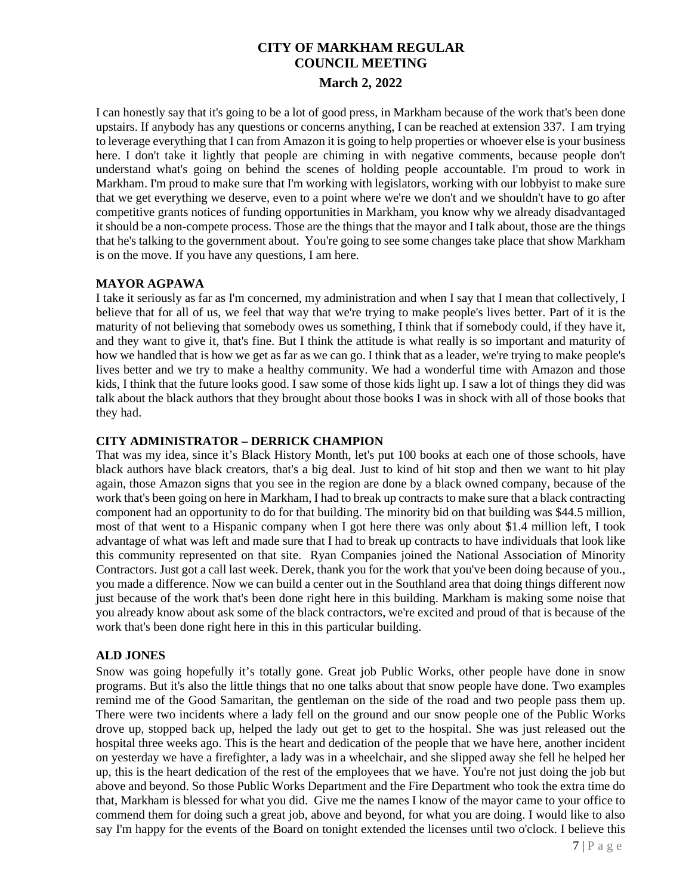I can honestly say that it's going to be a lot of good press, in Markham because of the work that's been done upstairs. If anybody has any questions or concerns anything, I can be reached at extension 337. I am trying to leverage everything that I can from Amazon it is going to help properties or whoever else is your business here. I don't take it lightly that people are chiming in with negative comments, because people don't understand what's going on behind the scenes of holding people accountable. I'm proud to work in Markham. I'm proud to make sure that I'm working with legislators, working with our lobbyist to make sure that we get everything we deserve, even to a point where we're we don't and we shouldn't have to go after competitive grants notices of funding opportunities in Markham, you know why we already disadvantaged it should be a non-compete process. Those are the things that the mayor and I talk about, those are the things that he's talking to the government about. You're going to see some changes take place that show Markham is on the move. If you have any questions, I am here.

#### **MAYOR AGPAWA**

I take it seriously as far as I'm concerned, my administration and when I say that I mean that collectively, I believe that for all of us, we feel that way that we're trying to make people's lives better. Part of it is the maturity of not believing that somebody owes us something, I think that if somebody could, if they have it, and they want to give it, that's fine. But I think the attitude is what really is so important and maturity of how we handled that is how we get as far as we can go. I think that as a leader, we're trying to make people's lives better and we try to make a healthy community. We had a wonderful time with Amazon and those kids, I think that the future looks good. I saw some of those kids light up. I saw a lot of things they did was talk about the black authors that they brought about those books I was in shock with all of those books that they had.

#### **CITY ADMINISTRATOR – DERRICK CHAMPION**

That was my idea, since it's Black History Month, let's put 100 books at each one of those schools, have black authors have black creators, that's a big deal. Just to kind of hit stop and then we want to hit play again, those Amazon signs that you see in the region are done by a black owned company, because of the work that's been going on here in Markham, I had to break up contracts to make sure that a black contracting component had an opportunity to do for that building. The minority bid on that building was \$44.5 million, most of that went to a Hispanic company when I got here there was only about \$1.4 million left, I took advantage of what was left and made sure that I had to break up contracts to have individuals that look like this community represented on that site. Ryan Companies joined the National Association of Minority Contractors. Just got a call last week. Derek, thank you for the work that you've been doing because of you., you made a difference. Now we can build a center out in the Southland area that doing things different now just because of the work that's been done right here in this building. Markham is making some noise that you already know about ask some of the black contractors, we're excited and proud of that is because of the work that's been done right here in this in this particular building.

### **ALD JONES**

Snow was going hopefully it's totally gone. Great job Public Works, other people have done in snow programs. But it's also the little things that no one talks about that snow people have done. Two examples remind me of the Good Samaritan, the gentleman on the side of the road and two people pass them up. There were two incidents where a lady fell on the ground and our snow people one of the Public Works drove up, stopped back up, helped the lady out get to get to the hospital. She was just released out the hospital three weeks ago. This is the heart and dedication of the people that we have here, another incident on yesterday we have a firefighter, a lady was in a wheelchair, and she slipped away she fell he helped her up, this is the heart dedication of the rest of the employees that we have. You're not just doing the job but above and beyond. So those Public Works Department and the Fire Department who took the extra time do that, Markham is blessed for what you did. Give me the names I know of the mayor came to your office to commend them for doing such a great job, above and beyond, for what you are doing. I would like to also say I'm happy for the events of the Board on tonight extended the licenses until two o'clock. I believe this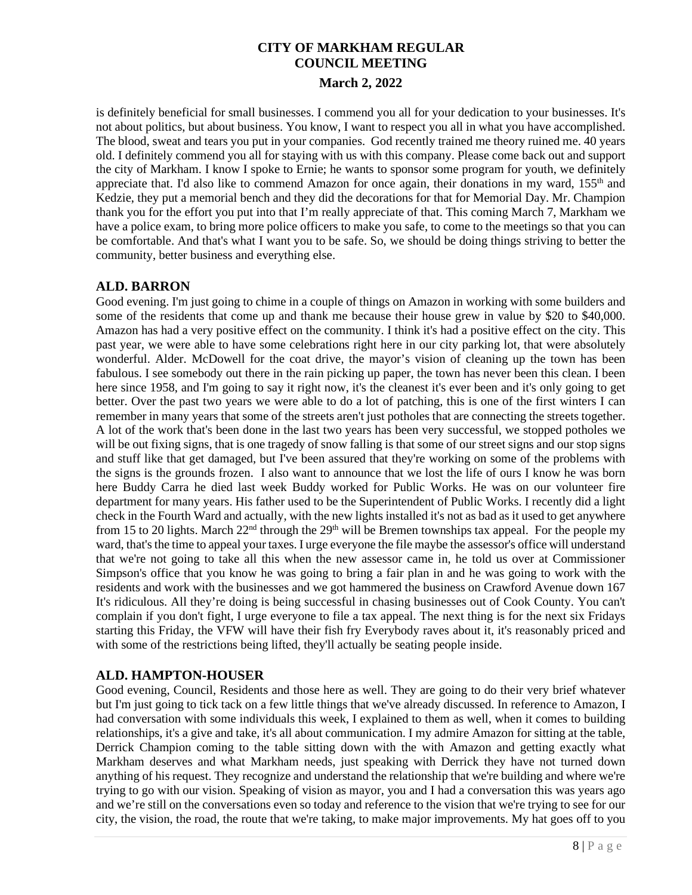is definitely beneficial for small businesses. I commend you all for your dedication to your businesses. It's not about politics, but about business. You know, I want to respect you all in what you have accomplished. The blood, sweat and tears you put in your companies. God recently trained me theory ruined me. 40 years old. I definitely commend you all for staying with us with this company. Please come back out and support the city of Markham. I know I spoke to Ernie; he wants to sponsor some program for youth, we definitely appreciate that. I'd also like to commend Amazon for once again, their donations in my ward, 155<sup>th</sup> and Kedzie, they put a memorial bench and they did the decorations for that for Memorial Day. Mr. Champion thank you for the effort you put into that I'm really appreciate of that. This coming March 7, Markham we have a police exam, to bring more police officers to make you safe, to come to the meetings so that you can be comfortable. And that's what I want you to be safe. So, we should be doing things striving to better the community, better business and everything else.

# **ALD. BARRON**

Good evening. I'm just going to chime in a couple of things on Amazon in working with some builders and some of the residents that come up and thank me because their house grew in value by \$20 to \$40,000. Amazon has had a very positive effect on the community. I think it's had a positive effect on the city. This past year, we were able to have some celebrations right here in our city parking lot, that were absolutely wonderful. Alder. McDowell for the coat drive, the mayor's vision of cleaning up the town has been fabulous. I see somebody out there in the rain picking up paper, the town has never been this clean. I been here since 1958, and I'm going to say it right now, it's the cleanest it's ever been and it's only going to get better. Over the past two years we were able to do a lot of patching, this is one of the first winters I can remember in many years that some of the streets aren't just potholes that are connecting the streets together. A lot of the work that's been done in the last two years has been very successful, we stopped potholes we will be out fixing signs, that is one tragedy of snow falling is that some of our street signs and our stop signs and stuff like that get damaged, but I've been assured that they're working on some of the problems with the signs is the grounds frozen. I also want to announce that we lost the life of ours I know he was born here Buddy Carra he died last week Buddy worked for Public Works. He was on our volunteer fire department for many years. His father used to be the Superintendent of Public Works. I recently did a light check in the Fourth Ward and actually, with the new lights installed it's not as bad as it used to get anywhere from 15 to 20 lights. March 22<sup>nd</sup> through the 29<sup>th</sup> will be Bremen townships tax appeal. For the people my ward, that's the time to appeal your taxes. I urge everyone the file maybe the assessor's office will understand that we're not going to take all this when the new assessor came in, he told us over at Commissioner Simpson's office that you know he was going to bring a fair plan in and he was going to work with the residents and work with the businesses and we got hammered the business on Crawford Avenue down 167 It's ridiculous. All they're doing is being successful in chasing businesses out of Cook County. You can't complain if you don't fight, I urge everyone to file a tax appeal. The next thing is for the next six Fridays starting this Friday, the VFW will have their fish fry Everybody raves about it, it's reasonably priced and with some of the restrictions being lifted, they'll actually be seating people inside.

# **ALD. HAMPTON-HOUSER**

Good evening, Council, Residents and those here as well. They are going to do their very brief whatever but I'm just going to tick tack on a few little things that we've already discussed. In reference to Amazon, I had conversation with some individuals this week, I explained to them as well, when it comes to building relationships, it's a give and take, it's all about communication. I my admire Amazon for sitting at the table, Derrick Champion coming to the table sitting down with the with Amazon and getting exactly what Markham deserves and what Markham needs, just speaking with Derrick they have not turned down anything of his request. They recognize and understand the relationship that we're building and where we're trying to go with our vision. Speaking of vision as mayor, you and I had a conversation this was years ago and we're still on the conversations even so today and reference to the vision that we're trying to see for our city, the vision, the road, the route that we're taking, to make major improvements. My hat goes off to you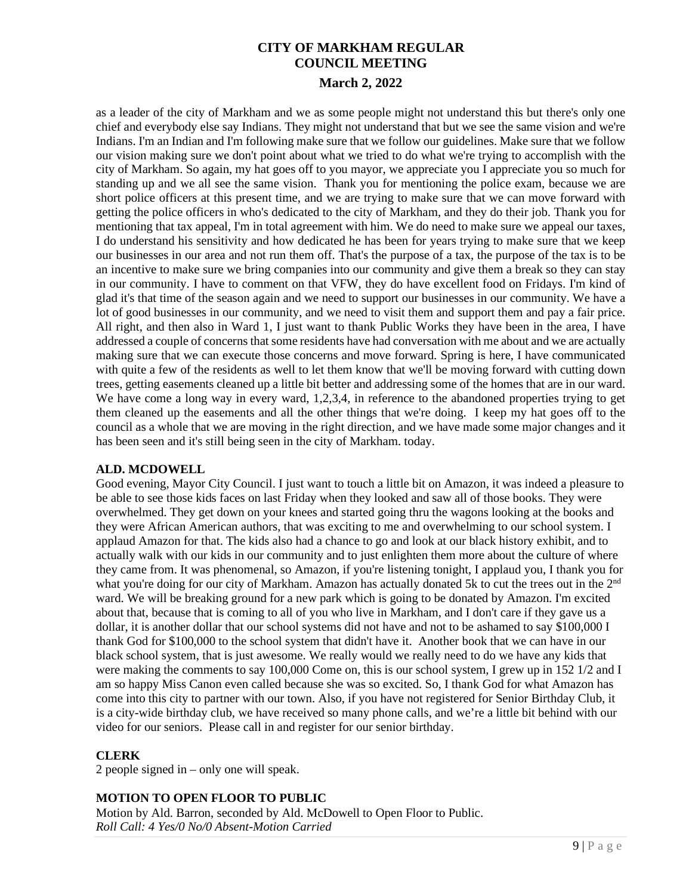as a leader of the city of Markham and we as some people might not understand this but there's only one chief and everybody else say Indians. They might not understand that but we see the same vision and we're Indians. I'm an Indian and I'm following make sure that we follow our guidelines. Make sure that we follow our vision making sure we don't point about what we tried to do what we're trying to accomplish with the city of Markham. So again, my hat goes off to you mayor, we appreciate you I appreciate you so much for standing up and we all see the same vision. Thank you for mentioning the police exam, because we are short police officers at this present time, and we are trying to make sure that we can move forward with getting the police officers in who's dedicated to the city of Markham, and they do their job. Thank you for mentioning that tax appeal, I'm in total agreement with him. We do need to make sure we appeal our taxes, I do understand his sensitivity and how dedicated he has been for years trying to make sure that we keep our businesses in our area and not run them off. That's the purpose of a tax, the purpose of the tax is to be an incentive to make sure we bring companies into our community and give them a break so they can stay in our community. I have to comment on that VFW, they do have excellent food on Fridays. I'm kind of glad it's that time of the season again and we need to support our businesses in our community. We have a lot of good businesses in our community, and we need to visit them and support them and pay a fair price. All right, and then also in Ward 1, I just want to thank Public Works they have been in the area, I have addressed a couple of concerns that some residents have had conversation with me about and we are actually making sure that we can execute those concerns and move forward. Spring is here, I have communicated with quite a few of the residents as well to let them know that we'll be moving forward with cutting down trees, getting easements cleaned up a little bit better and addressing some of the homes that are in our ward. We have come a long way in every ward, 1,2,3,4, in reference to the abandoned properties trying to get them cleaned up the easements and all the other things that we're doing. I keep my hat goes off to the council as a whole that we are moving in the right direction, and we have made some major changes and it has been seen and it's still being seen in the city of Markham. today.

#### **ALD. MCDOWELL**

Good evening, Mayor City Council. I just want to touch a little bit on Amazon, it was indeed a pleasure to be able to see those kids faces on last Friday when they looked and saw all of those books. They were overwhelmed. They get down on your knees and started going thru the wagons looking at the books and they were African American authors, that was exciting to me and overwhelming to our school system. I applaud Amazon for that. The kids also had a chance to go and look at our black history exhibit, and to actually walk with our kids in our community and to just enlighten them more about the culture of where they came from. It was phenomenal, so Amazon, if you're listening tonight, I applaud you, I thank you for what you're doing for our city of Markham. Amazon has actually donated 5k to cut the trees out in the 2<sup>nd</sup> ward. We will be breaking ground for a new park which is going to be donated by Amazon. I'm excited about that, because that is coming to all of you who live in Markham, and I don't care if they gave us a dollar, it is another dollar that our school systems did not have and not to be ashamed to say \$100,000 I thank God for \$100,000 to the school system that didn't have it. Another book that we can have in our black school system, that is just awesome. We really would we really need to do we have any kids that were making the comments to say 100,000 Come on, this is our school system, I grew up in 152 1/2 and I am so happy Miss Canon even called because she was so excited. So, I thank God for what Amazon has come into this city to partner with our town. Also, if you have not registered for Senior Birthday Club, it is a city-wide birthday club, we have received so many phone calls, and we're a little bit behind with our video for our seniors. Please call in and register for our senior birthday.

# **CLERK**

2 people signed in – only one will speak.

# **MOTION TO OPEN FLOOR TO PUBLIC**

Motion by Ald. Barron, seconded by Ald. McDowell to Open Floor to Public. *Roll Call: 4 Yes/0 No/0 Absent-Motion Carried*